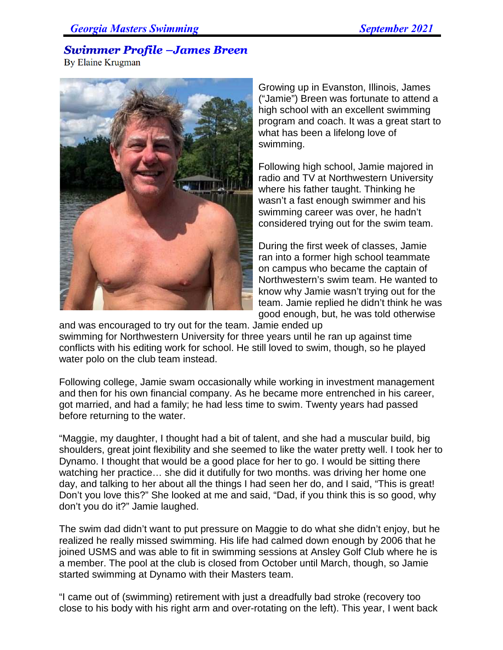## **Swimmer Profile -James Breen**

By Elaine Krugman



Growing up in Evanston, Illinois, James ("Jamie") Breen was fortunate to attend a high school with an excellent swimming program and coach. It was a great start to what has been a lifelong love of swimming.

Following high school, Jamie majored in radio and TV at Northwestern University where his father taught. Thinking he wasn't a fast enough swimmer and his swimming career was over, he hadn't considered trying out for the swim team.

During the first week of classes, Jamie ran into a former high school teammate on campus who became the captain of Northwestern's swim team. He wanted to know why Jamie wasn't trying out for the team. Jamie replied he didn't think he was good enough, but, he was told otherwise

and was encouraged to try out for the team. Jamie ended up swimming for Northwestern University for three years until he ran up against time conflicts with his editing work for school. He still loved to swim, though, so he played water polo on the club team instead.

Following college, Jamie swam occasionally while working in investment management and then for his own financial company. As he became more entrenched in his career, got married, and had a family; he had less time to swim. Twenty years had passed before returning to the water.

"Maggie, my daughter, I thought had a bit of talent, and she had a muscular build, big shoulders, great joint flexibility and she seemed to like the water pretty well. I took her to Dynamo. I thought that would be a good place for her to go. I would be sitting there watching her practice… she did it dutifully for two months. was driving her home one day, and talking to her about all the things I had seen her do, and I said, "This is great! Don't you love this?" She looked at me and said, "Dad, if you think this is so good, why don't you do it?" Jamie laughed.

The swim dad didn't want to put pressure on Maggie to do what she didn't enjoy, but he realized he really missed swimming. His life had calmed down enough by 2006 that he joined USMS and was able to fit in swimming sessions at Ansley Golf Club where he is a member. The pool at the club is closed from October until March, though, so Jamie started swimming at Dynamo with their Masters team.

"I came out of (swimming) retirement with just a dreadfully bad stroke (recovery too close to his body with his right arm and over-rotating on the left). This year, I went back